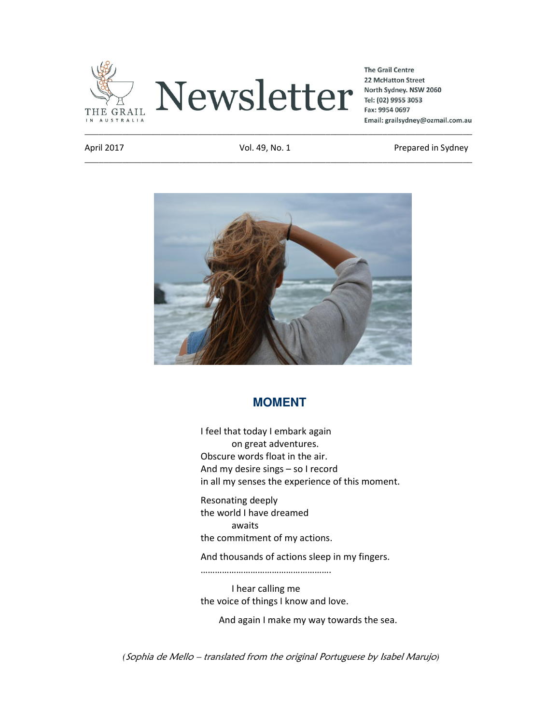

**The Grail Centre** 22 McHatton Street North Sydney. NSW 2060 Tel: (02) 9955 3053 Fax: 9954 0697 Email: grailsydney@ozmail.com.au

\_\_\_\_\_\_\_\_\_\_\_\_\_\_\_\_\_\_\_\_\_\_\_\_\_\_\_\_\_\_\_\_\_\_\_\_\_\_\_\_\_\_\_\_\_\_\_\_\_\_\_\_\_\_\_\_\_\_\_\_\_\_\_\_\_\_\_\_\_\_\_\_\_\_\_\_\_\_\_\_\_\_

April 2017 **Vol. 49, No. 1** Prepared in Sydney



## **MOMENT**

I feel that today I embark again on great adventures. Obscure words float in the air. And my desire sings – so I record in all my senses the experience of this moment.

Resonating deeply the world I have dreamed awaits the commitment of my actions.

And thousands of actions sleep in my fingers.

……………………………………………….

I hear calling me the voice of things I know and love.

And again I make my way towards the sea.

*(*Sophia de Mello – translated from the original Portuguese by Isabel Marujo*)*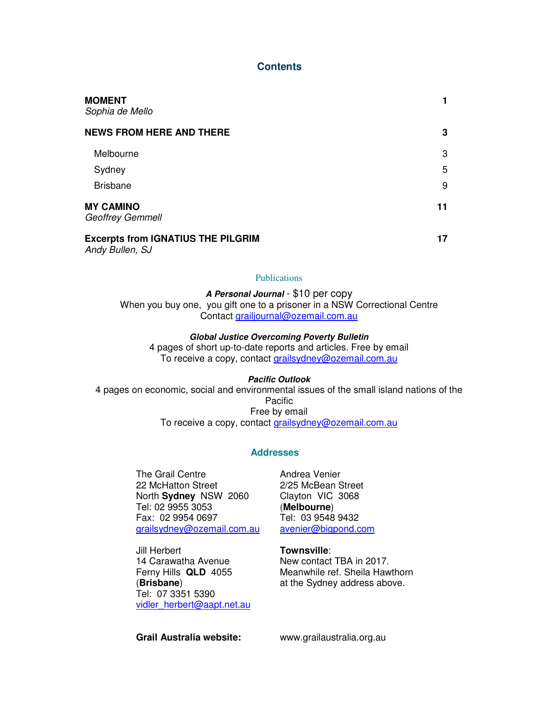## **Contents**

| <b>MOMENT</b><br>Sophia de Mello            |    |
|---------------------------------------------|----|
| <b>NEWS FROM HERE AND THERE</b>             | 3  |
| Melbourne                                   | 3  |
| Sydney                                      | 5  |
| <b>Brisbane</b>                             | 9  |
| <b>MY CAMINO</b><br><b>Geoffrey Gemmell</b> | 11 |
| <b>Excerpts from IGNATIUS THE PILGRIM</b>   | 17 |

Andy Bullen, SJ

#### **Publications**

**A Personal Journal** - \$10 per copy

When you buy one, you gift one to a prisoner in a NSW Correctional Centre Contact grailjournal@ozemail.com.au

### **Global Justice Overcoming Poverty Bulletin**

4 pages of short up-to-date reports and articles. Free by email To receive a copy, contact grailsydney@ozemail.com.au

**Pacific Outlook**  4 pages on economic, social and environmental issues of the small island nations of the Pacific Free by email To receive a copy, contact grailsydney@ozemail.com.au

## **Addresses**

The Grail Centre 22 McHatton Street North **Sydney** NSW 2060 Tel: 02 9955 3053 Fax: 02 9954 0697 grailsydney@ozemail.com.au Andrea Venier 2/25 McBean Street Clayton VIC 3068 (**Melbourne**) Tel: 03 9548 9432 avenier@bigpond.com

**Townsville**:

New contact TBA in 2017. Meanwhile ref. Sheila Hawthorn at the Sydney address above.

14 Carawatha Avenue Ferny Hills **QLD** 4055 (**Brisbane**) Tel: 07 3351 5390 vidler\_herbert@aapt.net.au

Jill Herbert

**Grail Australia website:** www.grailaustralia.org.au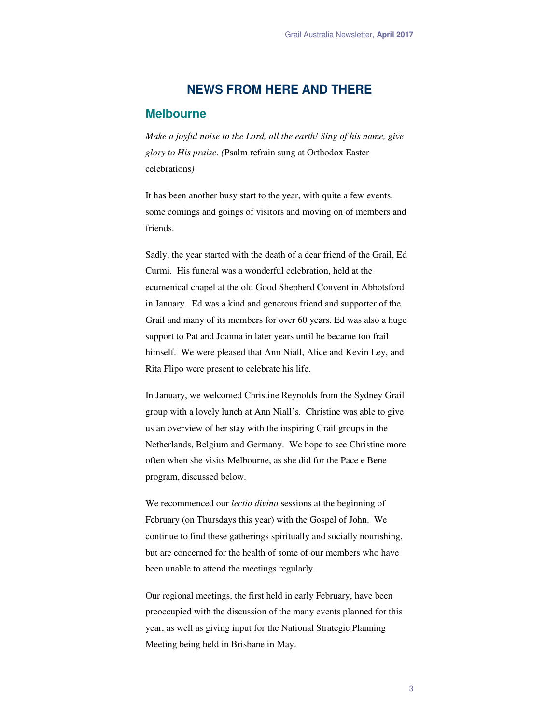## **NEWS FROM HERE AND THERE**

### **Melbourne**

*Make a joyful noise to the Lord, all the earth! Sing of his name, give glory to His praise. (*Psalm refrain sung at Orthodox Easter celebrations*)* 

It has been another busy start to the year, with quite a few events, some comings and goings of visitors and moving on of members and friends.

Sadly, the year started with the death of a dear friend of the Grail, Ed Curmi. His funeral was a wonderful celebration, held at the ecumenical chapel at the old Good Shepherd Convent in Abbotsford in January. Ed was a kind and generous friend and supporter of the Grail and many of its members for over 60 years. Ed was also a huge support to Pat and Joanna in later years until he became too frail himself. We were pleased that Ann Niall, Alice and Kevin Ley, and Rita Flipo were present to celebrate his life.

In January, we welcomed Christine Reynolds from the Sydney Grail group with a lovely lunch at Ann Niall's. Christine was able to give us an overview of her stay with the inspiring Grail groups in the Netherlands, Belgium and Germany. We hope to see Christine more often when she visits Melbourne, as she did for the Pace e Bene program, discussed below.

We recommenced our *lectio divina* sessions at the beginning of February (on Thursdays this year) with the Gospel of John. We continue to find these gatherings spiritually and socially nourishing, but are concerned for the health of some of our members who have been unable to attend the meetings regularly.

Our regional meetings, the first held in early February, have been preoccupied with the discussion of the many events planned for this year, as well as giving input for the National Strategic Planning Meeting being held in Brisbane in May.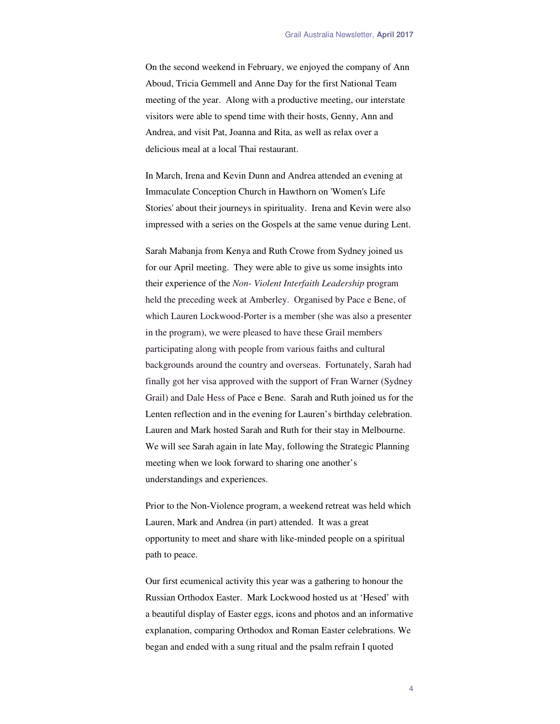On the second weekend in February, we enjoyed the company of Ann Aboud, Tricia Gemmell and Anne Day for the first National Team meeting of the year. Along with a productive meeting, our interstate visitors were able to spend time with their hosts, Genny, Ann and Andrea, and visit Pat, Joanna and Rita, as well as relax over a delicious meal at a local Thai restaurant.

In March, Irena and Kevin Dunn and Andrea attended an evening at Immaculate Conception Church in Hawthorn on 'Women's Life Stories' about their journeys in spirituality. Irena and Kevin were also impressed with a series on the Gospels at the same venue during Lent.

Sarah Mabanja from Kenya and Ruth Crowe from Sydney joined us for our April meeting. They were able to give us some insights into their experience of the *Non- Violent Interfaith Leadership* program held the preceding week at Amberley. Organised by Pace e Bene, of which Lauren Lockwood-Porter is a member (she was also a presenter in the program), we were pleased to have these Grail members participating along with people from various faiths and cultural backgrounds around the country and overseas. Fortunately, Sarah had finally got her visa approved with the support of Fran Warner (Sydney Grail) and Dale Hess of Pace e Bene. Sarah and Ruth joined us for the Lenten reflection and in the evening for Lauren's birthday celebration. Lauren and Mark hosted Sarah and Ruth for their stay in Melbourne. We will see Sarah again in late May, following the Strategic Planning meeting when we look forward to sharing one another's understandings and experiences.

Prior to the Non-Violence program, a weekend retreat was held which Lauren, Mark and Andrea (in part) attended. It was a great opportunity to meet and share with like-minded people on a spiritual path to peace.

Our first ecumenical activity this year was a gathering to honour the Russian Orthodox Easter. Mark Lockwood hosted us at 'Hesed' with a beautiful display of Easter eggs, icons and photos and an informative explanation, comparing Orthodox and Roman Easter celebrations. We began and ended with a sung ritual and the psalm refrain I quoted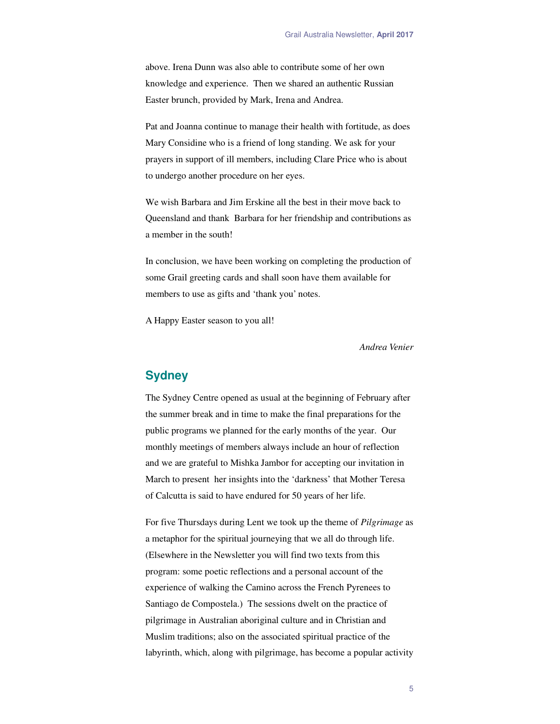above. Irena Dunn was also able to contribute some of her own knowledge and experience. Then we shared an authentic Russian Easter brunch, provided by Mark, Irena and Andrea.

Pat and Joanna continue to manage their health with fortitude, as does Mary Considine who is a friend of long standing. We ask for your prayers in support of ill members, including Clare Price who is about to undergo another procedure on her eyes.

We wish Barbara and Jim Erskine all the best in their move back to Queensland and thank Barbara for her friendship and contributions as a member in the south!

In conclusion, we have been working on completing the production of some Grail greeting cards and shall soon have them available for members to use as gifts and 'thank you' notes.

A Happy Easter season to you all!

*Andrea Venier* 

## **Sydney**

The Sydney Centre opened as usual at the beginning of February after the summer break and in time to make the final preparations for the public programs we planned for the early months of the year. Our monthly meetings of members always include an hour of reflection and we are grateful to Mishka Jambor for accepting our invitation in March to present her insights into the 'darkness' that Mother Teresa of Calcutta is said to have endured for 50 years of her life.

For five Thursdays during Lent we took up the theme of *Pilgrimage* as a metaphor for the spiritual journeying that we all do through life. (Elsewhere in the Newsletter you will find two texts from this program: some poetic reflections and a personal account of the experience of walking the Camino across the French Pyrenees to Santiago de Compostela.) The sessions dwelt on the practice of pilgrimage in Australian aboriginal culture and in Christian and Muslim traditions; also on the associated spiritual practice of the labyrinth, which, along with pilgrimage, has become a popular activity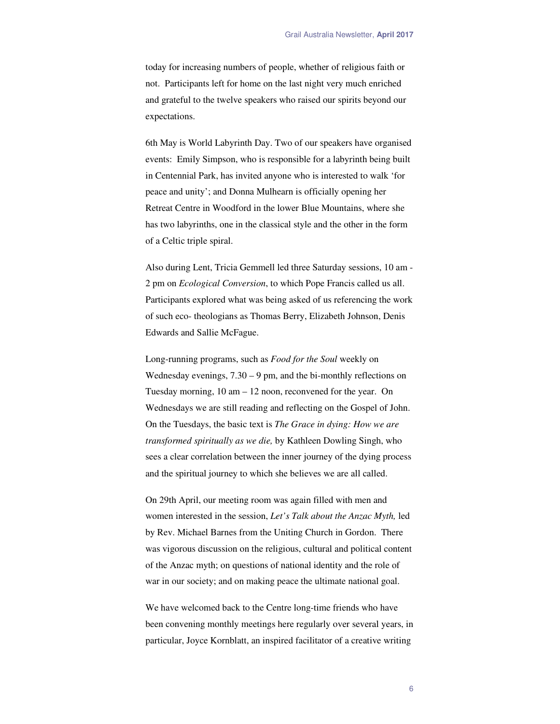today for increasing numbers of people, whether of religious faith or not. Participants left for home on the last night very much enriched and grateful to the twelve speakers who raised our spirits beyond our expectations.

6th May is World Labyrinth Day. Two of our speakers have organised events: Emily Simpson, who is responsible for a labyrinth being built in Centennial Park, has invited anyone who is interested to walk 'for peace and unity'; and Donna Mulhearn is officially opening her Retreat Centre in Woodford in the lower Blue Mountains, where she has two labyrinths, one in the classical style and the other in the form of a Celtic triple spiral.

Also during Lent, Tricia Gemmell led three Saturday sessions, 10 am - 2 pm on *Ecological Conversion*, to which Pope Francis called us all. Participants explored what was being asked of us referencing the work of such eco- theologians as Thomas Berry, Elizabeth Johnson, Denis Edwards and Sallie McFague.

Long-running programs, such as *Food for the Soul* weekly on Wednesday evenings,  $7.30 - 9$  pm, and the bi-monthly reflections on Tuesday morning, 10 am – 12 noon, reconvened for the year. On Wednesdays we are still reading and reflecting on the Gospel of John. On the Tuesdays, the basic text is *The Grace in dying: How we are transformed spiritually as we die,* by Kathleen Dowling Singh, who sees a clear correlation between the inner journey of the dying process and the spiritual journey to which she believes we are all called.

On 29th April, our meeting room was again filled with men and women interested in the session, *Let's Talk about the Anzac Myth,* led by Rev. Michael Barnes from the Uniting Church in Gordon. There was vigorous discussion on the religious, cultural and political content of the Anzac myth; on questions of national identity and the role of war in our society; and on making peace the ultimate national goal.

We have welcomed back to the Centre long-time friends who have been convening monthly meetings here regularly over several years, in particular, Joyce Kornblatt, an inspired facilitator of a creative writing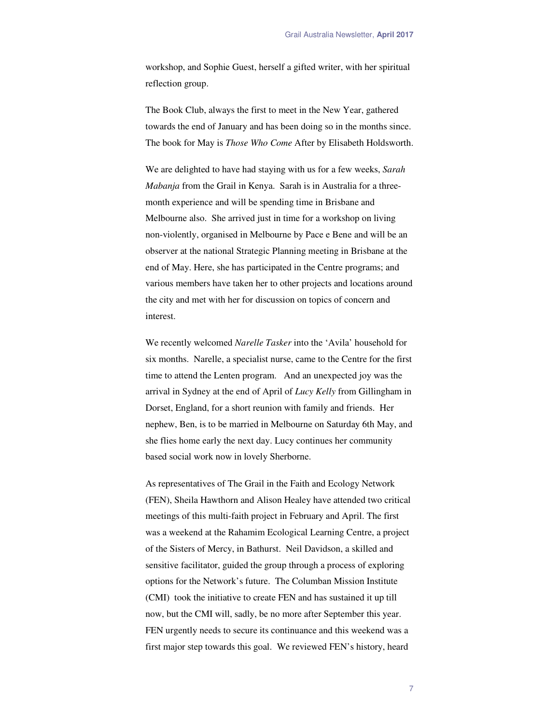workshop, and Sophie Guest, herself a gifted writer, with her spiritual reflection group.

The Book Club, always the first to meet in the New Year, gathered towards the end of January and has been doing so in the months since. The book for May is *Those Who Come* After by Elisabeth Holdsworth.

We are delighted to have had staying with us for a few weeks, *Sarah Mabanja* from the Grail in Kenya. Sarah is in Australia for a threemonth experience and will be spending time in Brisbane and Melbourne also. She arrived just in time for a workshop on living non-violently, organised in Melbourne by Pace e Bene and will be an observer at the national Strategic Planning meeting in Brisbane at the end of May. Here, she has participated in the Centre programs; and various members have taken her to other projects and locations around the city and met with her for discussion on topics of concern and interest.

We recently welcomed *Narelle Tasker* into the 'Avila' household for six months. Narelle, a specialist nurse, came to the Centre for the first time to attend the Lenten program. And an unexpected joy was the arrival in Sydney at the end of April of *Lucy Kelly* from Gillingham in Dorset, England, for a short reunion with family and friends. Her nephew, Ben, is to be married in Melbourne on Saturday 6th May, and she flies home early the next day. Lucy continues her community based social work now in lovely Sherborne.

As representatives of The Grail in the Faith and Ecology Network (FEN), Sheila Hawthorn and Alison Healey have attended two critical meetings of this multi-faith project in February and April. The first was a weekend at the Rahamim Ecological Learning Centre, a project of the Sisters of Mercy, in Bathurst. Neil Davidson, a skilled and sensitive facilitator, guided the group through a process of exploring options for the Network's future. The Columban Mission Institute (CMI) took the initiative to create FEN and has sustained it up till now, but the CMI will, sadly, be no more after September this year. FEN urgently needs to secure its continuance and this weekend was a first major step towards this goal. We reviewed FEN's history, heard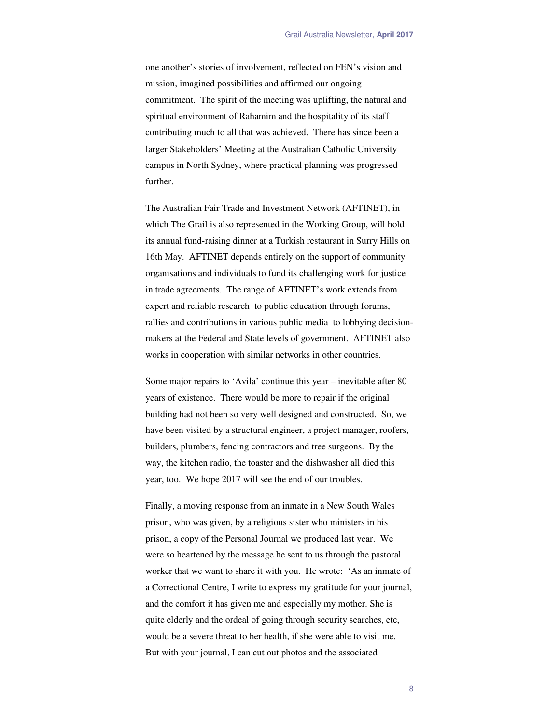one another's stories of involvement, reflected on FEN's vision and mission, imagined possibilities and affirmed our ongoing commitment. The spirit of the meeting was uplifting, the natural and spiritual environment of Rahamim and the hospitality of its staff contributing much to all that was achieved. There has since been a larger Stakeholders' Meeting at the Australian Catholic University campus in North Sydney, where practical planning was progressed further.

The Australian Fair Trade and Investment Network (AFTINET), in which The Grail is also represented in the Working Group, will hold its annual fund-raising dinner at a Turkish restaurant in Surry Hills on 16th May. AFTINET depends entirely on the support of community organisations and individuals to fund its challenging work for justice in trade agreements. The range of AFTINET's work extends from expert and reliable research to public education through forums, rallies and contributions in various public media to lobbying decisionmakers at the Federal and State levels of government. AFTINET also works in cooperation with similar networks in other countries.

Some major repairs to 'Avila' continue this year – inevitable after 80 years of existence. There would be more to repair if the original building had not been so very well designed and constructed. So, we have been visited by a structural engineer, a project manager, roofers, builders, plumbers, fencing contractors and tree surgeons. By the way, the kitchen radio, the toaster and the dishwasher all died this year, too. We hope 2017 will see the end of our troubles.

Finally, a moving response from an inmate in a New South Wales prison, who was given, by a religious sister who ministers in his prison, a copy of the Personal Journal we produced last year. We were so heartened by the message he sent to us through the pastoral worker that we want to share it with you. He wrote: 'As an inmate of a Correctional Centre, I write to express my gratitude for your journal, and the comfort it has given me and especially my mother. She is quite elderly and the ordeal of going through security searches, etc, would be a severe threat to her health, if she were able to visit me. But with your journal, I can cut out photos and the associated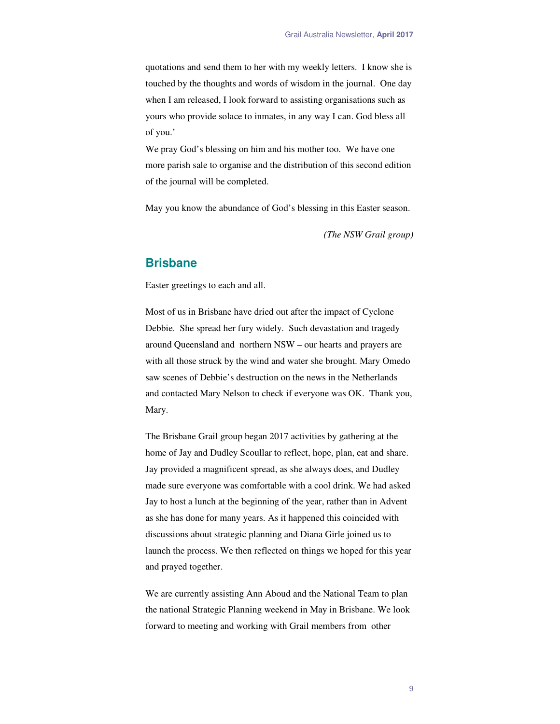quotations and send them to her with my weekly letters. I know she is touched by the thoughts and words of wisdom in the journal. One day when I am released, I look forward to assisting organisations such as yours who provide solace to inmates, in any way I can. God bless all of you.'

We pray God's blessing on him and his mother too. We have one more parish sale to organise and the distribution of this second edition of the journal will be completed.

May you know the abundance of God's blessing in this Easter season.

*(The NSW Grail group)* 

## **Brisbane**

Easter greetings to each and all.

Most of us in Brisbane have dried out after the impact of Cyclone Debbie. She spread her fury widely. Such devastation and tragedy around Queensland and northern NSW – our hearts and prayers are with all those struck by the wind and water she brought. Mary Omedo saw scenes of Debbie's destruction on the news in the Netherlands and contacted Mary Nelson to check if everyone was OK. Thank you, Mary.

The Brisbane Grail group began 2017 activities by gathering at the home of Jay and Dudley Scoullar to reflect, hope, plan, eat and share. Jay provided a magnificent spread, as she always does, and Dudley made sure everyone was comfortable with a cool drink. We had asked Jay to host a lunch at the beginning of the year, rather than in Advent as she has done for many years. As it happened this coincided with discussions about strategic planning and Diana Girle joined us to launch the process. We then reflected on things we hoped for this year and prayed together.

We are currently assisting Ann Aboud and the National Team to plan the national Strategic Planning weekend in May in Brisbane. We look forward to meeting and working with Grail members from other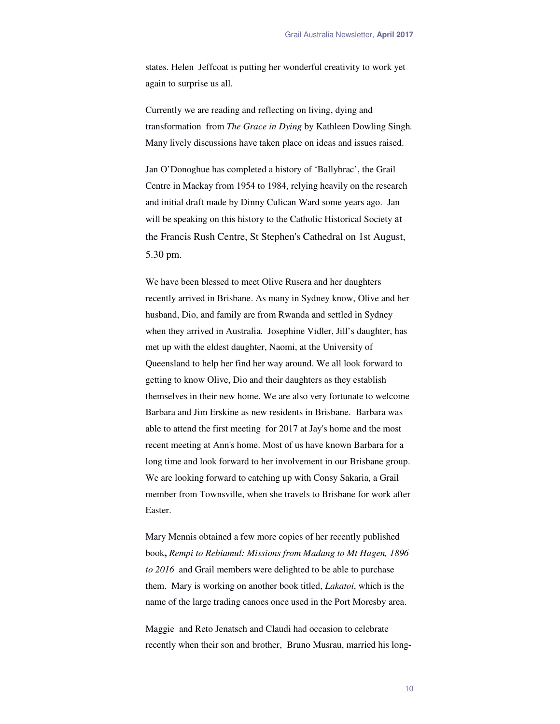states. Helen Jeffcoat is putting her wonderful creativity to work yet again to surprise us all.

Currently we are reading and reflecting on living, dying and transformation from *The Grace in Dying* by Kathleen Dowling Singh*.*  Many lively discussions have taken place on ideas and issues raised.

Jan O'Donoghue has completed a history of 'Ballybrac', the Grail Centre in Mackay from 1954 to 1984, relying heavily on the research and initial draft made by Dinny Culican Ward some years ago. Jan will be speaking on this history to the Catholic Historical Society at the Francis Rush Centre, St Stephen's Cathedral on 1st August, 5.30 pm.

We have been blessed to meet Olive Rusera and her daughters recently arrived in Brisbane. As many in Sydney know, Olive and her husband, Dio, and family are from Rwanda and settled in Sydney when they arrived in Australia. Josephine Vidler, Jill's daughter, has met up with the eldest daughter, Naomi, at the University of Queensland to help her find her way around. We all look forward to getting to know Olive, Dio and their daughters as they establish themselves in their new home. We are also very fortunate to welcome Barbara and Jim Erskine as new residents in Brisbane. Barbara was able to attend the first meeting for 2017 at Jay's home and the most recent meeting at Ann's home. Most of us have known Barbara for a long time and look forward to her involvement in our Brisbane group. We are looking forward to catching up with Consy Sakaria, a Grail member from Townsville, when she travels to Brisbane for work after Easter.

Mary Mennis obtained a few more copies of her recently published book**,** *Rempi to Rebiamul: Missions from Madang to Mt Hagen, 1896 to 2016*and Grail members were delighted to be able to purchase them. Mary is working on another book titled, *Lakatoi*, which is the name of the large trading canoes once used in the Port Moresby area.

Maggie and Reto Jenatsch and Claudi had occasion to celebrate recently when their son and brother, Bruno Musrau, married his long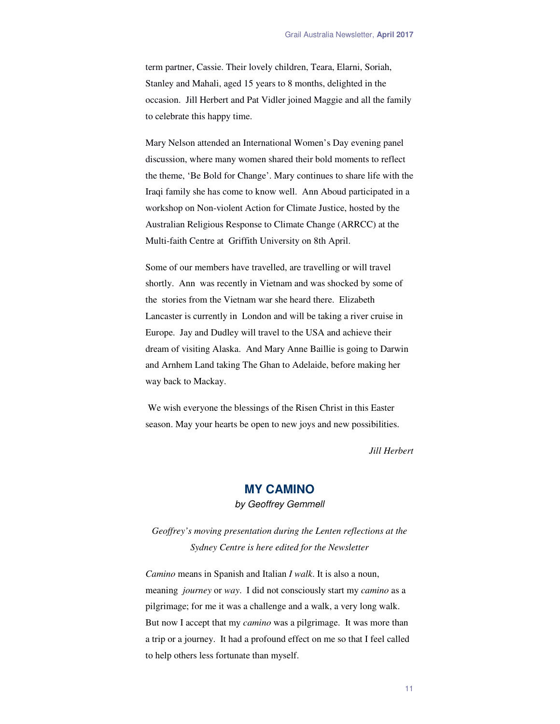term partner, Cassie. Their lovely children, Teara, Elarni, Soriah, Stanley and Mahali, aged 15 years to 8 months, delighted in the occasion. Jill Herbert and Pat Vidler joined Maggie and all the family to celebrate this happy time.

Mary Nelson attended an International Women's Day evening panel discussion, where many women shared their bold moments to reflect the theme, 'Be Bold for Change'. Mary continues to share life with the Iraqi family she has come to know well. Ann Aboud participated in a workshop on Non-violent Action for Climate Justice, hosted by the Australian Religious Response to Climate Change (ARRCC) at the Multi-faith Centre at Griffith University on 8th April.

Some of our members have travelled, are travelling or will travel shortly. Ann was recently in Vietnam and was shocked by some of the stories from the Vietnam war she heard there. Elizabeth Lancaster is currently in London and will be taking a river cruise in Europe. Jay and Dudley will travel to the USA and achieve their dream of visiting Alaska. And Mary Anne Baillie is going to Darwin and Arnhem Land taking The Ghan to Adelaide, before making her way back to Mackay.

 We wish everyone the blessings of the Risen Christ in this Easter season. May your hearts be open to new joys and new possibilities.

*Jill Herbert* 

# **MY CAMINO**

by Geoffrey Gemmell

*Geoffrey's moving presentation during the Lenten reflections at the Sydney Centre is here edited for the Newsletter* 

*Camino* means in Spanish and Italian *I walk*. It is also a noun, meaning *journey* or *way*. I did not consciously start my *camino* as a pilgrimage; for me it was a challenge and a walk, a very long walk. But now I accept that my *camino* was a pilgrimage. It was more than a trip or a journey. It had a profound effect on me so that I feel called to help others less fortunate than myself.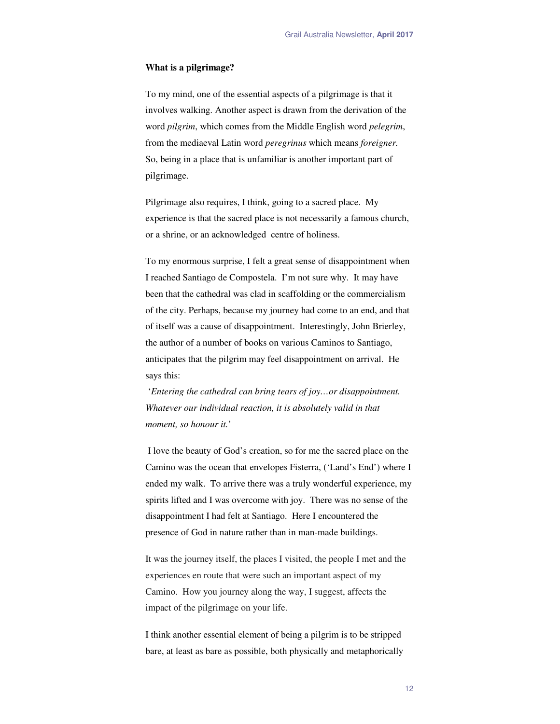#### **What is a pilgrimage?**

To my mind, one of the essential aspects of a pilgrimage is that it involves walking. Another aspect is drawn from the derivation of the word *pilgrim*, which comes from the Middle English word *pelegrim*, from the mediaeval Latin word *peregrinus* which means *foreigner.* So, being in a place that is unfamiliar is another important part of pilgrimage.

Pilgrimage also requires, I think, going to a sacred place. My experience is that the sacred place is not necessarily a famous church, or a shrine, or an acknowledged centre of holiness.

To my enormous surprise, I felt a great sense of disappointment when I reached Santiago de Compostela. I'm not sure why. It may have been that the cathedral was clad in scaffolding or the commercialism of the city. Perhaps, because my journey had come to an end, and that of itself was a cause of disappointment. Interestingly, John Brierley, the author of a number of books on various Caminos to Santiago, anticipates that the pilgrim may feel disappointment on arrival. He says this:

 '*Entering the cathedral can bring tears of joy…or disappointment. Whatever our individual reaction, it is absolutely valid in that moment, so honour it.*'

 I love the beauty of God's creation, so for me the sacred place on the Camino was the ocean that envelopes Fisterra, ('Land's End') where I ended my walk. To arrive there was a truly wonderful experience, my spirits lifted and I was overcome with joy. There was no sense of the disappointment I had felt at Santiago. Here I encountered the presence of God in nature rather than in man-made buildings.

It was the journey itself, the places I visited, the people I met and the experiences en route that were such an important aspect of my Camino. How you journey along the way, I suggest, affects the impact of the pilgrimage on your life.

I think another essential element of being a pilgrim is to be stripped bare, at least as bare as possible, both physically and metaphorically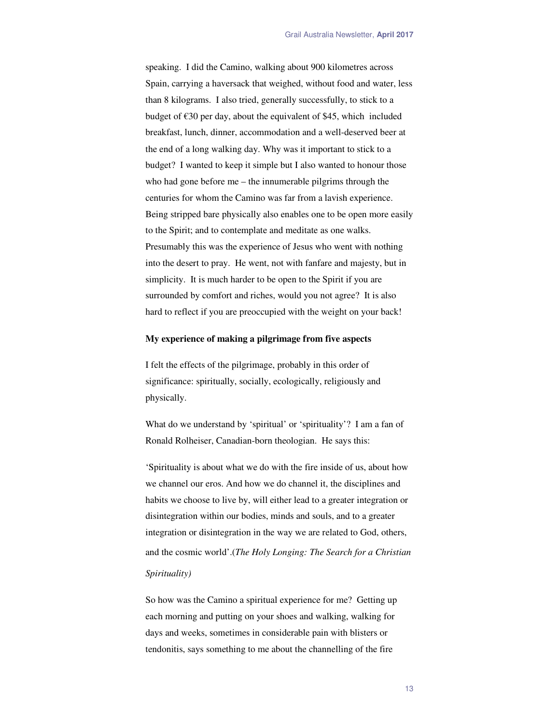speaking. I did the Camino, walking about 900 kilometres across Spain, carrying a haversack that weighed, without food and water, less than 8 kilograms. I also tried, generally successfully, to stick to a budget of  $\epsilon$ 30 per day, about the equivalent of \$45, which included breakfast, lunch, dinner, accommodation and a well-deserved beer at the end of a long walking day. Why was it important to stick to a budget? I wanted to keep it simple but I also wanted to honour those who had gone before me – the innumerable pilgrims through the centuries for whom the Camino was far from a lavish experience. Being stripped bare physically also enables one to be open more easily to the Spirit; and to contemplate and meditate as one walks. Presumably this was the experience of Jesus who went with nothing into the desert to pray. He went, not with fanfare and majesty, but in simplicity. It is much harder to be open to the Spirit if you are surrounded by comfort and riches, would you not agree? It is also hard to reflect if you are preoccupied with the weight on your back!

#### **My experience of making a pilgrimage from five aspects**

I felt the effects of the pilgrimage, probably in this order of significance: spiritually, socially, ecologically, religiously and physically.

What do we understand by 'spiritual' or 'spirituality'? I am a fan of Ronald Rolheiser, Canadian-born theologian. He says this:

'Spirituality is about what we do with the fire inside of us, about how we channel our eros. And how we do channel it, the disciplines and habits we choose to live by, will either lead to a greater integration or disintegration within our bodies, minds and souls, and to a greater integration or disintegration in the way we are related to God, others, and the cosmic world'. (*The Holy Longing: The Search for a Christian Spirituality)*

So how was the Camino a spiritual experience for me? Getting up each morning and putting on your shoes and walking, walking for days and weeks, sometimes in considerable pain with blisters or tendonitis, says something to me about the channelling of the fire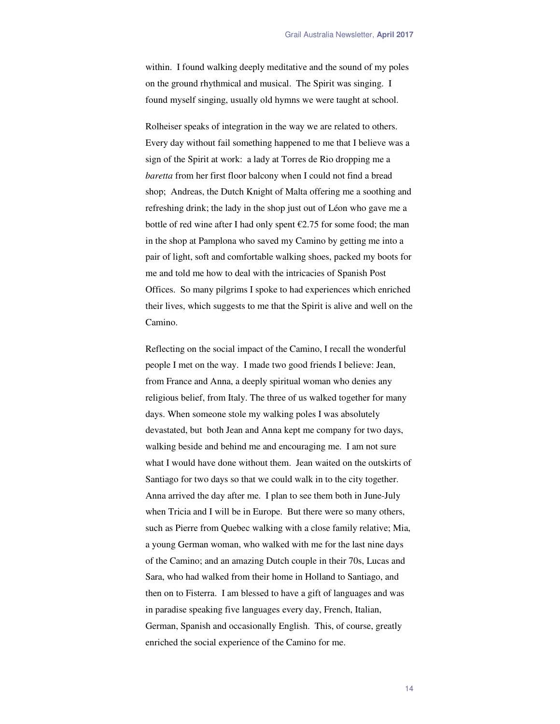within. I found walking deeply meditative and the sound of my poles on the ground rhythmical and musical. The Spirit was singing. I found myself singing, usually old hymns we were taught at school.

Rolheiser speaks of integration in the way we are related to others. Every day without fail something happened to me that I believe was a sign of the Spirit at work: a lady at Torres de Rio dropping me a *baretta* from her first floor balcony when I could not find a bread shop; Andreas, the Dutch Knight of Malta offering me a soothing and refreshing drink; the lady in the shop just out of Léon who gave me a bottle of red wine after I had only spent  $\epsilon$ 2.75 for some food; the man in the shop at Pamplona who saved my Camino by getting me into a pair of light, soft and comfortable walking shoes, packed my boots for me and told me how to deal with the intricacies of Spanish Post Offices. So many pilgrims I spoke to had experiences which enriched their lives, which suggests to me that the Spirit is alive and well on the Camino.

Reflecting on the social impact of the Camino, I recall the wonderful people I met on the way. I made two good friends I believe: Jean, from France and Anna, a deeply spiritual woman who denies any religious belief, from Italy. The three of us walked together for many days. When someone stole my walking poles I was absolutely devastated, but both Jean and Anna kept me company for two days, walking beside and behind me and encouraging me. I am not sure what I would have done without them. Jean waited on the outskirts of Santiago for two days so that we could walk in to the city together. Anna arrived the day after me. I plan to see them both in June-July when Tricia and I will be in Europe. But there were so many others, such as Pierre from Quebec walking with a close family relative; Mia, a young German woman, who walked with me for the last nine days of the Camino; and an amazing Dutch couple in their 70s, Lucas and Sara, who had walked from their home in Holland to Santiago, and then on to Fisterra. I am blessed to have a gift of languages and was in paradise speaking five languages every day, French, Italian, German, Spanish and occasionally English. This, of course, greatly enriched the social experience of the Camino for me.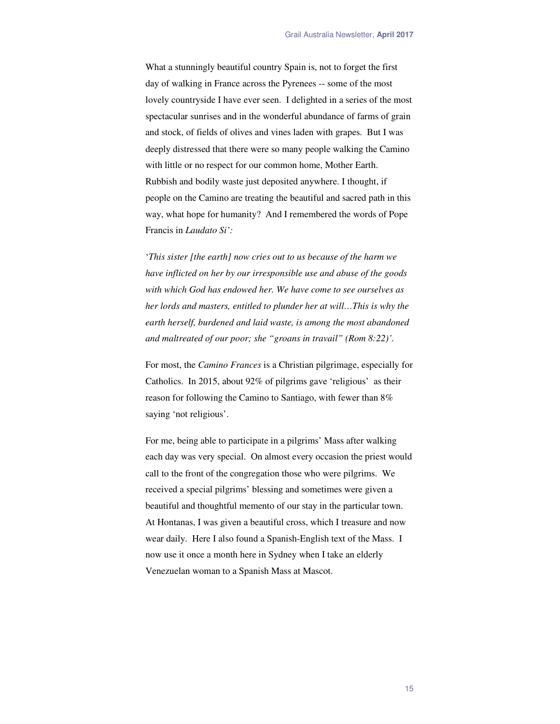What a stunningly beautiful country Spain is, not to forget the first day of walking in France across the Pyrenees -- some of the most lovely countryside I have ever seen. I delighted in a series of the most spectacular sunrises and in the wonderful abundance of farms of grain and stock, of fields of olives and vines laden with grapes. But I was deeply distressed that there were so many people walking the Camino with little or no respect for our common home, Mother Earth. Rubbish and bodily waste just deposited anywhere. I thought, if people on the Camino are treating the beautiful and sacred path in this way, what hope for humanity? And I remembered the words of Pope Francis in *Laudato Si':*

'*This sister [the earth] now cries out to us because of the harm we have inflicted on her by our irresponsible use and abuse of the goods with which God has endowed her. We have come to see ourselves as her lords and masters, entitled to plunder her at will…This is why the earth herself, burdened and laid waste, is among the most abandoned and maltreated of our poor; she "groans in travail" (Rom 8:22)'.*

For most, the *Camino Frances* is a Christian pilgrimage, especially for Catholics. In 2015, about 92% of pilgrims gave 'religious' as their reason for following the Camino to Santiago, with fewer than 8% saying 'not religious'.

For me, being able to participate in a pilgrims' Mass after walking each day was very special. On almost every occasion the priest would call to the front of the congregation those who were pilgrims. We received a special pilgrims' blessing and sometimes were given a beautiful and thoughtful memento of our stay in the particular town. At Hontanas, I was given a beautiful cross, which I treasure and now wear daily. Here I also found a Spanish-English text of the Mass. I now use it once a month here in Sydney when I take an elderly Venezuelan woman to a Spanish Mass at Mascot.

15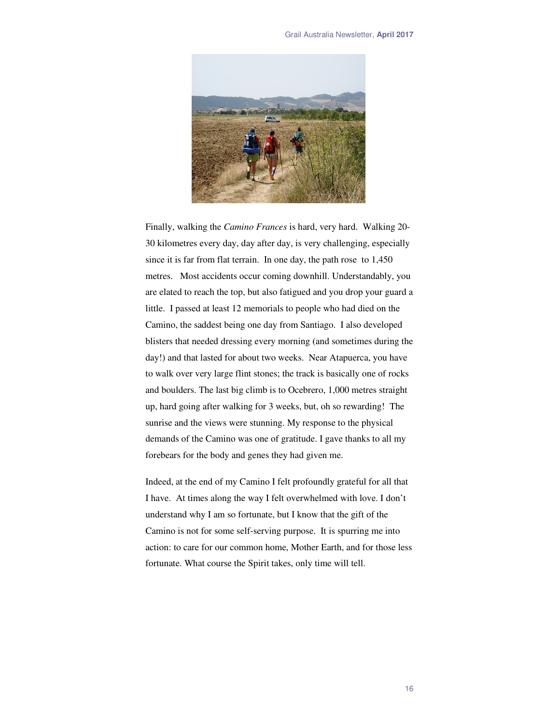

Finally, walking the *Camino Frances* is hard, very hard. Walking 20- 30 kilometres every day, day after day, is very challenging, especially since it is far from flat terrain. In one day, the path rose to 1,450 metres. Most accidents occur coming downhill. Understandably, you are elated to reach the top, but also fatigued and you drop your guard a little. I passed at least 12 memorials to people who had died on the Camino, the saddest being one day from Santiago. I also developed blisters that needed dressing every morning (and sometimes during the day!) and that lasted for about two weeks. Near Atapuerca, you have to walk over very large flint stones; the track is basically one of rocks and boulders. The last big climb is to Ocebrero, 1,000 metres straight up, hard going after walking for 3 weeks, but, oh so rewarding! The sunrise and the views were stunning. My response to the physical demands of the Camino was one of gratitude. I gave thanks to all my forebears for the body and genes they had given me.

Indeed, at the end of my Camino I felt profoundly grateful for all that I have. At times along the way I felt overwhelmed with love. I don't understand why I am so fortunate, but I know that the gift of the Camino is not for some self-serving purpose. It is spurring me into action: to care for our common home, Mother Earth, and for those less fortunate. What course the Spirit takes, only time will tell.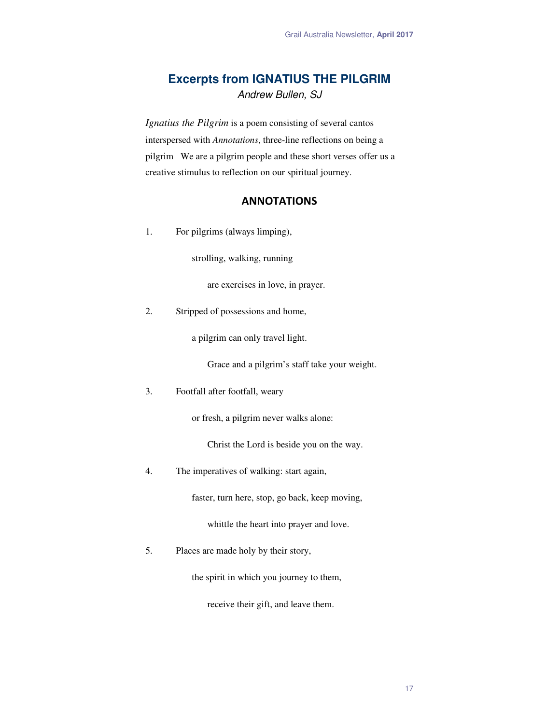# **Excerpts from IGNATIUS THE PILGRIM**  Andrew Bullen, SJ

*Ignatius the Pilgrim* is a poem consisting of several cantos interspersed with *Annotations*, three-line reflections on being a pilgrim We are a pilgrim people and these short verses offer us a creative stimulus to reflection on our spiritual journey.

## **ANNOTATIONS**

1. For pilgrims (always limping),

strolling, walking, running

are exercises in love, in prayer.

2. Stripped of possessions and home,

a pilgrim can only travel light.

Grace and a pilgrim's staff take your weight.

3. Footfall after footfall, weary

or fresh, a pilgrim never walks alone:

Christ the Lord is beside you on the way.

4. The imperatives of walking: start again,

faster, turn here, stop, go back, keep moving,

whittle the heart into prayer and love.

5. Places are made holy by their story,

the spirit in which you journey to them,

receive their gift, and leave them.